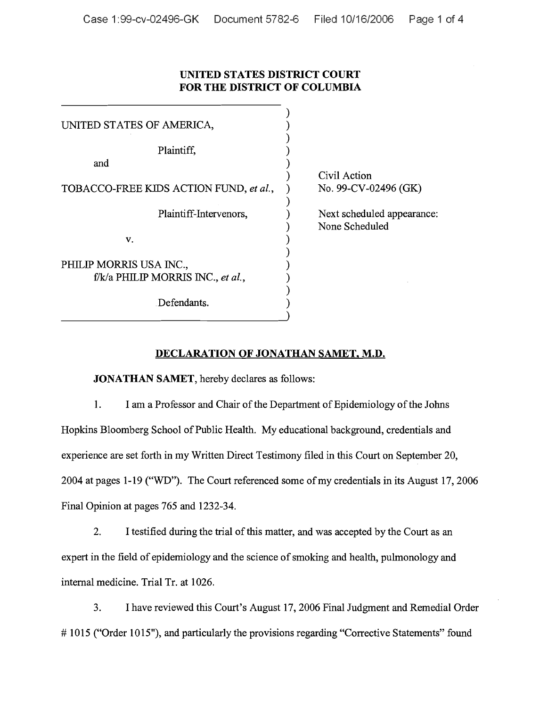## **UNITED STATES DISTRICT COURT FOR THE DISTRICT OF COLUMBIA**

| Civil Action                                 |
|----------------------------------------------|
| No. 99-CV-02496 (GK)                         |
| Next scheduled appearance:<br>None Scheduled |
|                                              |
|                                              |
|                                              |
|                                              |
|                                              |

## **DECLARATION OF JONATHAN SAMET, M.D.**

**JONATHAN SAMET,** hereby declares as follows:

1. I am a Professor and Chair of the Department of Epidemiology of the Johns Hopkins Bloomberg School of Public Health. My educational background, credentials and experience are set forth in my Written Direct Testimony filed in this Court on September 20, 2004 at pages 1-19 ("WD"). The Court referenced some of my credentials in its August 17, 2006 Final Opinion at pages 765 and 1232-34.

2. I testified during the trial of this matter, and was accepted by the Court as an expert in the field of epidemiology and the science of smoking and health, pulmonology and internal medicine. Trial Tr. at 1026.

3. I have reviewed this Court's August 17, 2006 Final Judgment and Remedial Order # 1015 ("Order 1015"), and particularly the provisions regarding "Corrective Statements" found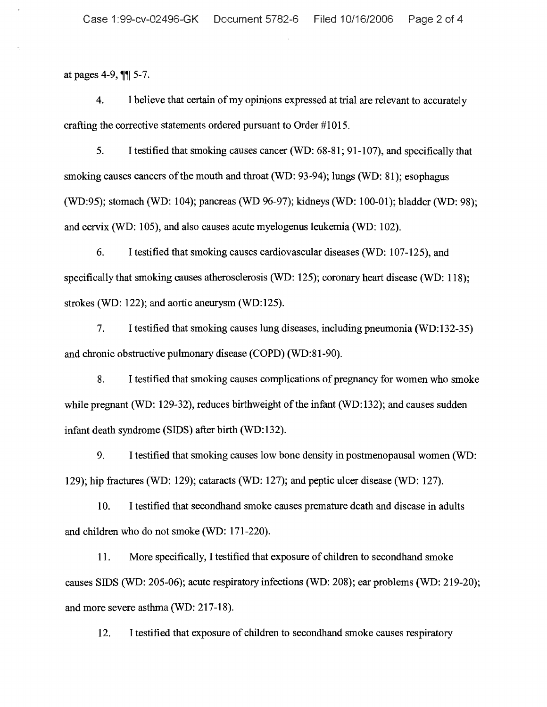at pages 4-9,  $\P$  $\parallel$  5-7.

4. I believe that certain of my opinions expressed at trial are relevant to accurately crafting the corrective statements ordered pursuant to Order #1015.

5. I testified that smoking causes cancer (WD: 68-81; 91-107), and specifically that smoking causes cancers of the mouth and throat (WD: 93-94); lungs (WD: 81); esophagus (WD:95); stomach (WD: 104); pancreas (WD 96-97); kidneys (WD: 100-01); bladder (WD: 98); and cervix (WD: 105), and also causes acute myelogenus leukemia (WD: 102).

6. I testified that smoking causes cardiovascular diseases (WD: 107-125), and specifically that smoking causes atherosclerosis (WD: 125); coronary heart disease (WD: 118); strokes (WD: 122); and aortic aneurysm (WD:125).

7. I testified that smoking causes lung diseases, including pneumonia (WD:132-35) and chronic obstructive pulmonary disease (COPD) (WD:81-90).

8. I testified that smoking causes complications of pregnancy for women who smoke while pregnant (WD: 129-32), reduces birthweight of the infant (WD:132); and causes sudden infant death syndrome (SIDS) after birth (WD:132).

9. I testified that smoking causes low bone density in postmenopausal women (WD: 129); hip fractures (WD: 129); cataracts (WD: 127); and peptic ulcer disease (WD: 127).

10. I testified that secondhand smoke causes premature death and disease in adults and children who do not smoke (WD: 171-220).

11. More specifically, I testified that exposure of children to secondhand smoke causes SIDS (WD: 205-06); acute respiratory infections (WD: 208); ear problems (WD: 219-20); and more severe asthma (WD: 217-18).

12. I testified that exposure of children to secondhand smoke causes respiratory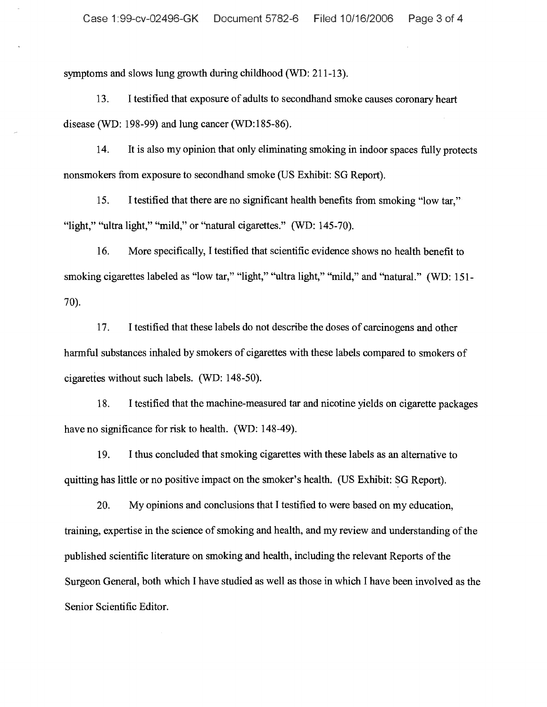symptoms and slows lung growth during childhood (WD: 211-13).

13. I testified that exposure of adults to secondhand smoke causes coronary heart disease (WD: 198-99) and lung cancer (WD:185-86).

14. It is also my opinion that only eliminating smoking in indoor spaces fully protects nonsmokers from exposure to secondhand smoke (US Exhibit: SG Report).

15. I testified that there are no significant health benefits from smoking "low tar," "light," "ultra light," "mild," or "natural cigarettes." (WD: 145-70).

16. More specifically, I testified that scientific evidence shows no health benefit to smoking cigarettes labeled as "low tar," "light," "ultra light," "mild," and "natural." (WD: 151-7O).

17. I testified that these labels do not describe the doses of carcinogens and other harmful substances inhaled by smokers of cigarettes with these labels compared to smokers of cigarettes without such labels. (WD: 148-50).

18. I testified that the machine-measured tar and nicotine yields on cigarette packages have no significance for risk to health. (WD: 148-49).

19. I thus concluded that smoking cigarettes with these labels as an altemative to quitting has little or no positive impact on the smoker's health. (US Exhibit: SG Report).

20. My opinions and conclusions that I testified to were based on my education, training, expertise in the science of smoking and health, and my review and understanding of the published scientific literature on smoking and health, including the relevant Reports of the Surgeon General, both which I have studied as well as those in which I have been involved as the Senior Scientific Editor.